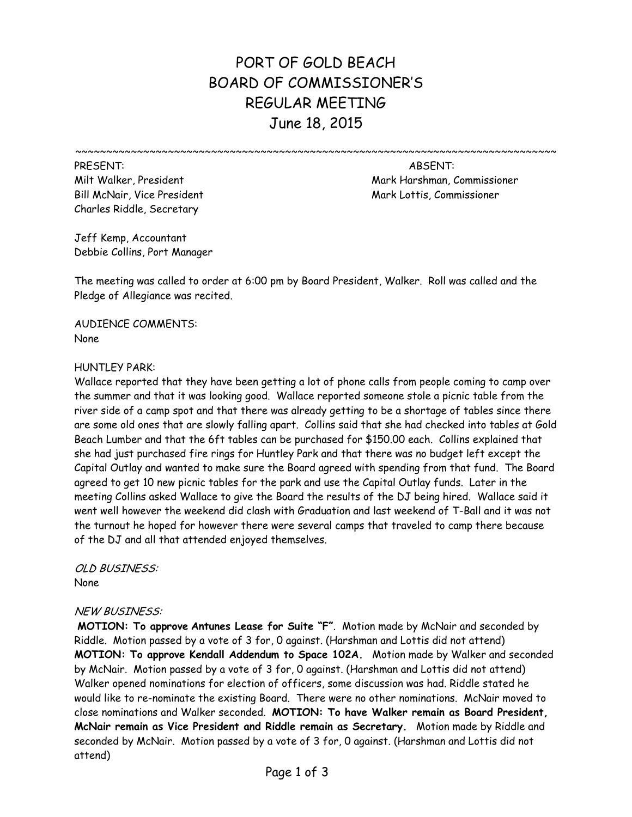# PORT OF GOLD BEACH BOARD OF COMMISSIONER'S REGULAR MEETING June 18, 2015

~~~~~~~~~~~~~~~~~~~~~~~~~~~~~~~~~~~~~~~~~~~~~~~~~~~~~~~~~~~~~~~~~~~~~~~~~~~~~~

PRESENT: ABSENT: Bill McNair, Vice President Mark Lottis, Commissioner Mark Lottis, Commissioner Charles Riddle, Secretary

Milt Walker, President Mark Harshman, Commissioner

Jeff Kemp, Accountant Debbie Collins, Port Manager

The meeting was called to order at 6:00 pm by Board President, Walker. Roll was called and the Pledge of Allegiance was recited.

AUDIENCE COMMENTS: None

### HUNTLEY PARK:

Wallace reported that they have been getting a lot of phone calls from people coming to camp over the summer and that it was looking good. Wallace reported someone stole a picnic table from the river side of a camp spot and that there was already getting to be a shortage of tables since there are some old ones that are slowly falling apart. Collins said that she had checked into tables at Gold Beach Lumber and that the 6ft tables can be purchased for \$150.00 each. Collins explained that she had just purchased fire rings for Huntley Park and that there was no budget left except the Capital Outlay and wanted to make sure the Board agreed with spending from that fund. The Board agreed to get 10 new picnic tables for the park and use the Capital Outlay funds. Later in the meeting Collins asked Wallace to give the Board the results of the DJ being hired. Wallace said it went well however the weekend did clash with Graduation and last weekend of T-Ball and it was not the turnout he hoped for however there were several camps that traveled to camp there because of the DJ and all that attended enjoyed themselves.

OLD BUSINESS: None

#### NEW BUSINESS:

**MOTION: To approve Antunes Lease for Suite "F"**. Motion made by McNair and seconded by Riddle. Motion passed by a vote of 3 for, 0 against. (Harshman and Lottis did not attend) **MOTION: To approve Kendall Addendum to Space 102A.** Motion made by Walker and seconded by McNair. Motion passed by a vote of 3 for, 0 against. (Harshman and Lottis did not attend) Walker opened nominations for election of officers, some discussion was had. Riddle stated he would like to re-nominate the existing Board. There were no other nominations. McNair moved to close nominations and Walker seconded. **MOTION: To have Walker remain as Board President, McNair remain as Vice President and Riddle remain as Secretary.** Motion made by Riddle and seconded by McNair. Motion passed by a vote of 3 for, 0 against. (Harshman and Lottis did not attend)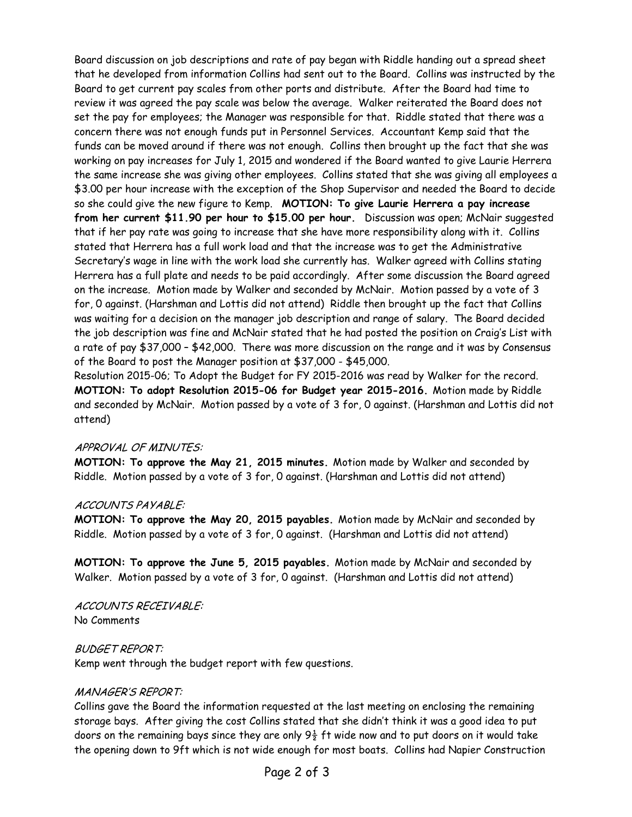Board discussion on job descriptions and rate of pay began with Riddle handing out a spread sheet that he developed from information Collins had sent out to the Board. Collins was instructed by the Board to get current pay scales from other ports and distribute. After the Board had time to review it was agreed the pay scale was below the average. Walker reiterated the Board does not set the pay for employees; the Manager was responsible for that. Riddle stated that there was a concern there was not enough funds put in Personnel Services. Accountant Kemp said that the funds can be moved around if there was not enough. Collins then brought up the fact that she was working on pay increases for July 1, 2015 and wondered if the Board wanted to give Laurie Herrera the same increase she was giving other employees. Collins stated that she was giving all employees a \$3.00 per hour increase with the exception of the Shop Supervisor and needed the Board to decide so she could give the new figure to Kemp. **MOTION: To give Laurie Herrera a pay increase from her current \$11.90 per hour to \$15.00 per hour.** Discussion was open; McNair suggested that if her pay rate was going to increase that she have more responsibility along with it. Collins stated that Herrera has a full work load and that the increase was to get the Administrative Secretary's wage in line with the work load she currently has. Walker agreed with Collins stating Herrera has a full plate and needs to be paid accordingly. After some discussion the Board agreed on the increase. Motion made by Walker and seconded by McNair. Motion passed by a vote of 3 for, 0 against. (Harshman and Lottis did not attend) Riddle then brought up the fact that Collins was waiting for a decision on the manager job description and range of salary. The Board decided the job description was fine and McNair stated that he had posted the position on Craig's List with a rate of pay \$37,000 – \$42,000. There was more discussion on the range and it was by Consensus of the Board to post the Manager position at \$37,000 - \$45,000.

Resolution 2015-06; To Adopt the Budget for FY 2015-2016 was read by Walker for the record. **MOTION: To adopt Resolution 2015-06 for Budget year 2015-2016.** Motion made by Riddle and seconded by McNair. Motion passed by a vote of 3 for, 0 against. (Harshman and Lottis did not attend)

#### APPROVAL OF MINUTES:

**MOTION: To approve the May 21, 2015 minutes.** Motion made by Walker and seconded by Riddle. Motion passed by a vote of 3 for, 0 against. (Harshman and Lottis did not attend)

#### ACCOUNTS PAYABLE:

**MOTION: To approve the May 20, 2015 payables.** Motion made by McNair and seconded by Riddle. Motion passed by a vote of 3 for, 0 against. (Harshman and Lottis did not attend)

**MOTION: To approve the June 5, 2015 payables.** Motion made by McNair and seconded by Walker. Motion passed by a vote of 3 for, 0 against. (Harshman and Lottis did not attend)

ACCOUNTS RECEIVABLE: No Comments

## BUDGET REPORT:

Kemp went through the budget report with few questions.

## MANAGER'S REPORT:

Collins gave the Board the information requested at the last meeting on enclosing the remaining storage bays. After giving the cost Collins stated that she didn't think it was a good idea to put doors on the remaining bays since they are only  $9\frac{1}{2}$  ft wide now and to put doors on it would take the opening down to 9ft which is not wide enough for most boats. Collins had Napier Construction